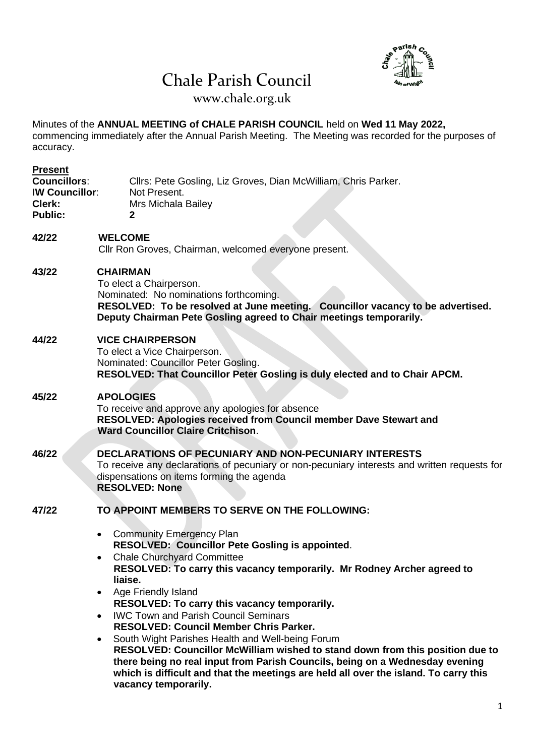# Chale Parish Council



www.chale.org.uk

Minutes of the **ANNUAL MEETING of CHALE PARISH COUNCIL** held on **Wed 11 May 2022,** commencing immediately after the Annual Parish Meeting. The Meeting was recorded for the purposes of accuracy.

| Cllrs: Pete Gosling, Liz Groves, Dian McWilliam, Chris Parker.<br>Not Present.<br>Mrs Michala Bailey<br>2                                                                                                                                                                                                                                                                                                                                                                                                                                                                                                                                                                                                                                                                                                                             |  |  |  |  |
|---------------------------------------------------------------------------------------------------------------------------------------------------------------------------------------------------------------------------------------------------------------------------------------------------------------------------------------------------------------------------------------------------------------------------------------------------------------------------------------------------------------------------------------------------------------------------------------------------------------------------------------------------------------------------------------------------------------------------------------------------------------------------------------------------------------------------------------|--|--|--|--|
| <b>WELCOME</b><br>Cllr Ron Groves, Chairman, welcomed everyone present.                                                                                                                                                                                                                                                                                                                                                                                                                                                                                                                                                                                                                                                                                                                                                               |  |  |  |  |
| <b>CHAIRMAN</b><br>To elect a Chairperson.<br>Nominated: No nominations forthcoming.<br>RESOLVED: To be resolved at June meeting. Councillor vacancy to be advertised.<br>Deputy Chairman Pete Gosling agreed to Chair meetings temporarily.                                                                                                                                                                                                                                                                                                                                                                                                                                                                                                                                                                                          |  |  |  |  |
| <b>VICE CHAIRPERSON</b><br>To elect a Vice Chairperson.<br>Nominated: Councillor Peter Gosling.<br>RESOLVED: That Councillor Peter Gosling is duly elected and to Chair APCM.                                                                                                                                                                                                                                                                                                                                                                                                                                                                                                                                                                                                                                                         |  |  |  |  |
| <b>APOLOGIES</b><br>To receive and approve any apologies for absence<br>RESOLVED: Apologies received from Council member Dave Stewart and<br><b>Ward Councillor Claire Critchison.</b>                                                                                                                                                                                                                                                                                                                                                                                                                                                                                                                                                                                                                                                |  |  |  |  |
| <b>DECLARATIONS OF PECUNIARY AND NON-PECUNIARY INTERESTS</b><br>To receive any declarations of pecuniary or non-pecuniary interests and written requests for<br>dispensations on items forming the agenda<br><b>RESOLVED: None</b>                                                                                                                                                                                                                                                                                                                                                                                                                                                                                                                                                                                                    |  |  |  |  |
| TO APPOINT MEMBERS TO SERVE ON THE FOLLOWING:<br><b>Community Emergency Plan</b><br>$\bullet$<br><b>RESOLVED: Councillor Pete Gosling is appointed.</b><br><b>Chale Churchyard Committee</b><br>RESOLVED: To carry this vacancy temporarily. Mr Rodney Archer agreed to<br>liaise.<br>Age Friendly Island<br>$\bullet$<br>RESOLVED: To carry this vacancy temporarily.<br><b>IWC Town and Parish Council Seminars</b><br>$\bullet$<br><b>RESOLVED: Council Member Chris Parker.</b><br>South Wight Parishes Health and Well-being Forum<br>$\bullet$<br>RESOLVED: Councillor McWilliam wished to stand down from this position due to<br>there being no real input from Parish Councils, being on a Wednesday evening<br>which is difficult and that the meetings are held all over the island. To carry this<br>vacancy temporarily. |  |  |  |  |
|                                                                                                                                                                                                                                                                                                                                                                                                                                                                                                                                                                                                                                                                                                                                                                                                                                       |  |  |  |  |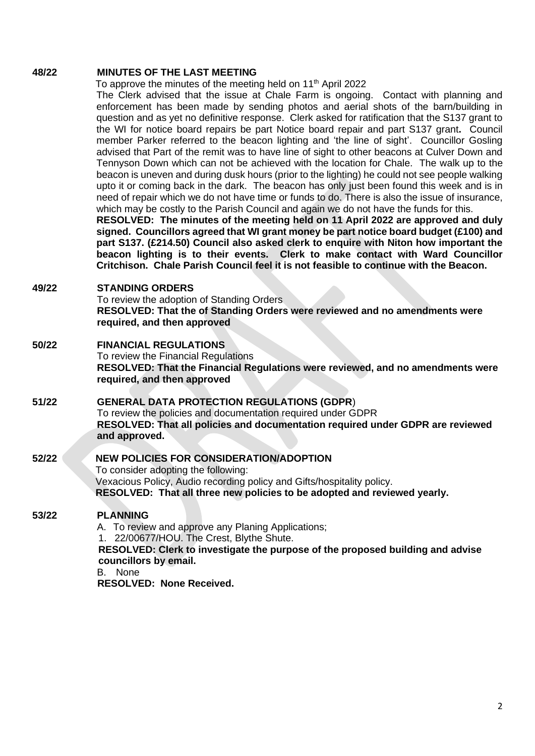#### **48/22 MINUTES OF THE LAST MEETING**

To approve the minutes of the meeting held on 11<sup>th</sup> April 2022

The Clerk advised that the issue at Chale Farm is ongoing. Contact with planning and enforcement has been made by sending photos and aerial shots of the barn/building in question and as yet no definitive response. Clerk asked for ratification that the S137 grant to the WI for notice board repairs be part Notice board repair and part S137 grant**.** Council member Parker referred to the beacon lighting and 'the line of sight'. Councillor Gosling advised that Part of the remit was to have line of sight to other beacons at Culver Down and Tennyson Down which can not be achieved with the location for Chale. The walk up to the beacon is uneven and during dusk hours (prior to the lighting) he could not see people walking upto it or coming back in the dark. The beacon has only just been found this week and is in need of repair which we do not have time or funds to do. There is also the issue of insurance, which may be costly to the Parish Council and again we do not have the funds for this.

**RESOLVED: The minutes of the meeting held on 11 April 2022 are approved and duly signed. Councillors agreed that WI grant money be part notice board budget (£100) and part S137. (£214.50) Council also asked clerk to enquire with Niton how important the beacon lighting is to their events. Clerk to make contact with Ward Councillor Critchison. Chale Parish Council feel it is not feasible to continue with the Beacon.**

### **49/22 STANDING ORDERS**

To review the adoption of Standing Orders **RESOLVED: That the of Standing Orders were reviewed and no amendments were required, and then approved**

## **50/22 FINANCIAL REGULATIONS**

To review the Financial Regulations **RESOLVED: That the Financial Regulations were reviewed, and no amendments were required, and then approved**

## **51/22 GENERAL DATA PROTECTION REGULATIONS (GDPR**)

To review the policies and documentation required under GDPR **RESOLVED: That all policies and documentation required under GDPR are reviewed and approved.**

# **52/22 NEW POLICIES FOR CONSIDERATION/ADOPTION**

To consider adopting the following: Vexacious Policy, Audio recording policy and Gifts/hospitality policy.  **RESOLVED: That all three new policies to be adopted and reviewed yearly.**

## **53/22 PLANNING**

A. To review and approve any Planing Applications;

1. 22/00677/HOU. The Crest, Blythe Shute.

 **RESOLVED: Clerk to investigate the purpose of the proposed building and advise councillors by email.**

B. None

**RESOLVED: None Received.**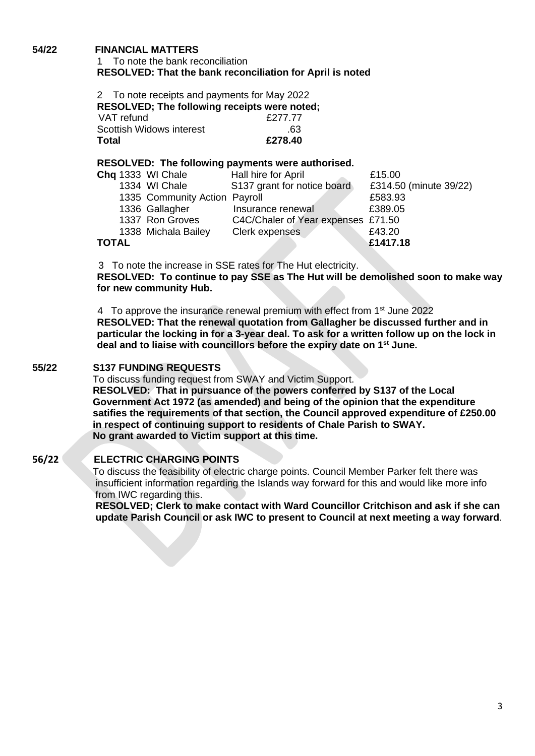## **54/22 FINANCIAL MATTERS**

## 1 To note the bank reconciliation **RESOLVED: That the bank reconciliation for April is noted**

| 2 To note receipts and payments for May 2022<br>RESOLVED; The following receipts were noted; |         |  |
|----------------------------------------------------------------------------------------------|---------|--|
| VAT refund                                                                                   | £277.77 |  |
| <b>Scottish Widows interest</b>                                                              | .63     |  |
| Total                                                                                        | £278.40 |  |

### **RESOLVED: The following payments were authorised.**

|       | Chq 1333 WI Chale             | Hall hire for April                | £15.00                 |
|-------|-------------------------------|------------------------------------|------------------------|
|       | 1334 WI Chale                 | S137 grant for notice board        | £314.50 (minute 39/22) |
|       | 1335 Community Action Payroll |                                    | £583.93                |
|       | 1336 Gallagher                | Insurance renewal                  | £389.05                |
|       | 1337 Ron Groves               | C4C/Chaler of Year expenses £71.50 |                        |
|       | 1338 Michala Bailey           | Clerk expenses                     | £43.20                 |
| TOTAL |                               |                                    | £1417.18               |
|       |                               |                                    |                        |

3 To note the increase in SSE rates for The Hut electricity.

**RESOLVED: To continue to pay SSE as The Hut will be demolished soon to make way for new community Hub.**

4 To approve the insurance renewal premium with effect from 1<sup>st</sup> June 2022 **RESOLVED: That the renewal quotation from Gallagher be discussed further and in particular the locking in for a 3-year deal. To ask for a written follow up on the lock in deal and to liaise with councillors before the expiry date on 1st June.**

## **55/22 S137 FUNDING REQUESTS**

To discuss funding request from SWAY and Victim Support.

 **RESOLVED: That in pursuance of the powers conferred by S137 of the Local Government Act 1972 (as amended) and being of the opinion that the expenditure satifies the requirements of that section, the Council approved expenditure of £250.00 in respect of continuing support to residents of Chale Parish to SWAY. No grant awarded to Victim support at this time.**

## **56/22 ELECTRIC CHARGING POINTS**

To discuss the feasibility of electric charge points. Council Member Parker felt there was insufficient information regarding the Islands way forward for this and would like more info from IWC regarding this.

 **RESOLVED; Clerk to make contact with Ward Councillor Critchison and ask if she can update Parish Council or ask IWC to present to Council at next meeting a way forward**.